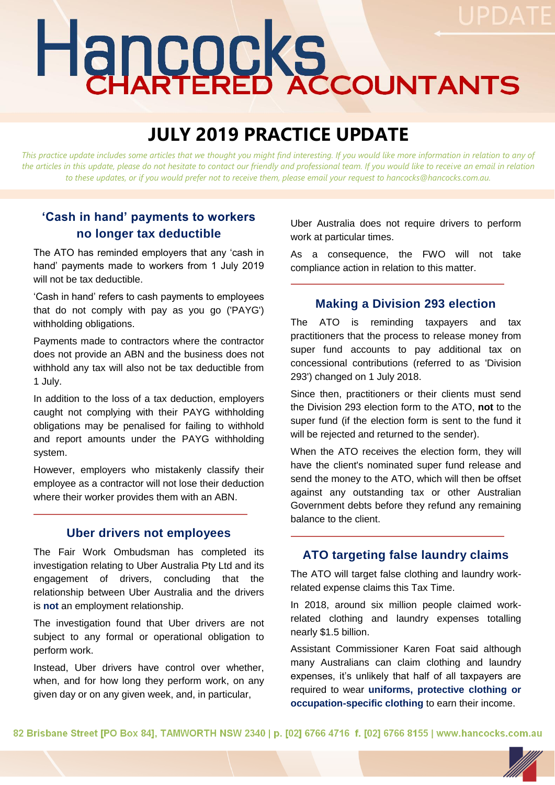# Hancocks

# **JULY 2019 PRACTICE UPDATE**

This practice update includes some articles that we thought you might find interesting. If you would like more information in relation to any of *the articles in this update, please do not hesitate to contact our friendly and professional team. If you would like to receive an email in relation to these updates, or if you would prefer not to receive them, please email your request to hancocks@hancocks.com.au.* 

# **'Cash in hand' payments to workers no longer tax deductible**

The ATO has reminded employers that any 'cash in hand' payments made to workers from 1 July 2019 will not be tax deductible.

'Cash in hand' refers to cash payments to employees that do not comply with pay as you go ('PAYG') withholding obligations.

Payments made to contractors where the contractor does not provide an ABN and the business does not withhold any tax will also not be tax deductible from 1 July.

In addition to the loss of a tax deduction, employers caught not complying with their PAYG withholding obligations may be penalised for failing to withhold and report amounts under the PAYG withholding system.

However, employers who mistakenly classify their employee as a contractor will not lose their deduction where their worker provides them with an ABN.

#### **Uber drivers not employees**

The Fair Work Ombudsman has completed its investigation relating to Uber Australia Pty Ltd and its engagement of drivers, concluding that the relationship between Uber Australia and the drivers is **not** an employment relationship.

The investigation found that Uber drivers are not subject to any formal or operational obligation to perform work.

Instead, Uber drivers have control over whether, when, and for how long they perform work, on any given day or on any given week, and, in particular,

Uber Australia does not require drivers to perform work at particular times.

As a consequence, the FWO will not take compliance action in relation to this matter.

#### **Making a Division 293 election**

The ATO is reminding taxpayers and tax practitioners that the process to release money from super fund accounts to pay additional tax on concessional contributions (referred to as 'Division 293') changed on 1 July 2018.

Since then, practitioners or their clients must send the Division 293 election form to the ATO, **not** to the super fund (if the election form is sent to the fund it will be rejected and returned to the sender).

When the ATO receives the election form, they will have the client's nominated super fund release and send the money to the ATO, which will then be offset against any outstanding tax or other Australian Government debts before they refund any remaining balance to the client.

#### **ATO targeting false laundry claims**

The ATO will target false clothing and laundry workrelated expense claims this Tax Time.

In 2018, around six million people claimed workrelated clothing and laundry expenses totalling nearly \$1.5 billion.

Assistant Commissioner Karen Foat said although many Australians can claim clothing and laundry expenses, it's unlikely that half of all taxpayers are required to wear **uniforms, protective clothing or occupation-specific clothing** to earn their income.

82 Brisbane Street [PO Box 84], TAMWORTH NSW 2340 | p. [02] 6766 4716 f. [02] 6766 8155 | www.hancocks.com.au